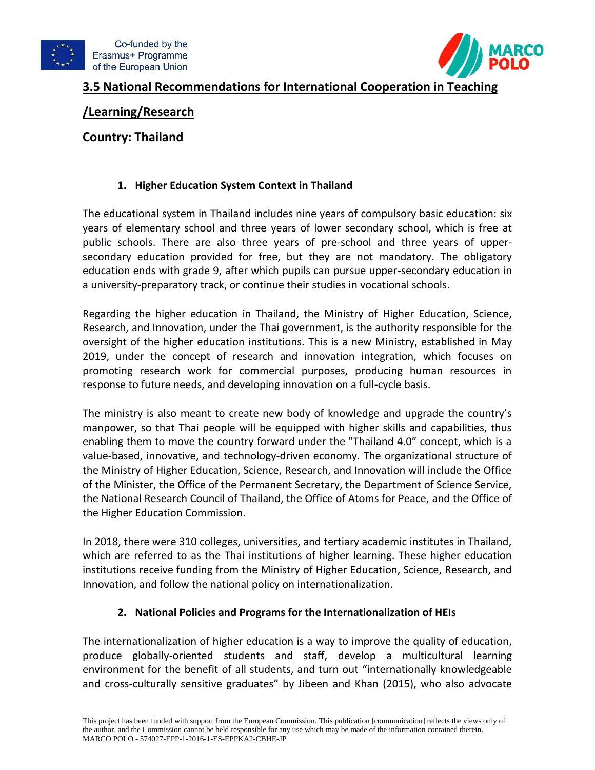



# **3.5 National Recommendations for International Cooperation in Teaching**

## **/Learning/Research**

## **Country: Thailand**

## **1. Higher Education System Context in Thailand**

The educational system in Thailand includes nine years of compulsory basic education: six years of elementary school and three years of lower secondary school, which is free at public schools. There are also three years of pre-school and three years of uppersecondary education provided for free, but they are not mandatory. The obligatory education ends with grade 9, after which pupils can pursue upper-secondary education in a university-preparatory track, or continue their studies in vocational schools.

Regarding the higher education in Thailand, the Ministry of Higher Education, Science, Research, and Innovation, under the Thai government, is the authority responsible for the oversight of the higher education institutions. This is a new Ministry, established in May 2019, under the concept of research and innovation integration, which focuses on promoting research work for commercial purposes, producing human resources in response to future needs, and developing innovation on a full-cycle basis.

The ministry is also meant to create new body of knowledge and upgrade the country's manpower, so that Thai people will be equipped with higher skills and capabilities, thus enabling them to move the country forward under the "Thailand 4.0" concept, which is a value-based, innovative, and technology-driven economy. The organizational structure of the Ministry of Higher Education, Science, Research, and Innovation will include the Office of the Minister, the Office of the Permanent Secretary, the Department of Science Service, the National Research Council of Thailand, the Office of Atoms for Peace, and the Office of the Higher Education Commission.

In 2018, there were 310 colleges, universities, and tertiary academic institutes in Thailand, which are referred to as the Thai institutions of higher learning. These higher education institutions receive funding from the Ministry of Higher Education, Science, Research, and Innovation, and follow the national policy on internationalization.

### **2. National Policies and Programs for the Internationalization of HEIs**

The internationalization of higher education is a way to improve the quality of education, produce globally-oriented students and staff, develop a multicultural learning environment for the benefit of all students, and turn out "internationally knowledgeable and cross-culturally sensitive graduates" by Jibeen and Khan (2015), who also advocate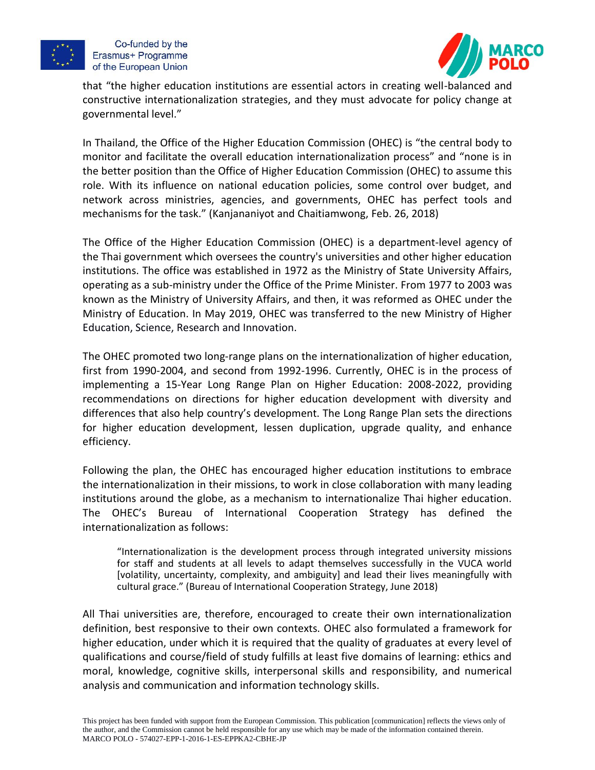

Co-funded by the Erasmus+ Programme of the European Union



that "the higher education institutions are essential actors in creating well-balanced and constructive internationalization strategies, and they must advocate for policy change at governmental level."

In Thailand, the Office of the Higher Education Commission (OHEC) is "the central body to monitor and facilitate the overall education internationalization process" and "none is in the better position than the Office of Higher Education Commission (OHEC) to assume this role. With its influence on national education policies, some control over budget, and network across ministries, agencies, and governments, OHEC has perfect tools and mechanisms for the task." (Kanjananiyot and Chaitiamwong, Feb. 26, 2018)

The Office of the Higher Education Commission (OHEC) is a department-level agency of the Thai government which oversees the country's universities and other higher education institutions. The office was established in 1972 as the Ministry of State University Affairs, operating as a sub-ministry under the Office of the Prime Minister. From 1977 to 2003 was known as the Ministry of University Affairs, and then, it was reformed as OHEC under the Ministry of Education. In May 2019, OHEC was transferred to the new Ministry of Higher Education, Science, Research and Innovation.

The OHEC promoted two long-range plans on the internationalization of higher education, first from 1990-2004, and second from 1992-1996. Currently, OHEC is in the process of implementing a 15-Year Long Range Plan on Higher Education: 2008-2022, providing recommendations on directions for higher education development with diversity and differences that also help country's development. The Long Range Plan sets the directions for higher education development, lessen duplication, upgrade quality, and enhance efficiency.

Following the plan, the OHEC has encouraged higher education institutions to embrace the internationalization in their missions, to work in close collaboration with many leading institutions around the globe, as a mechanism to internationalize Thai higher education. The OHEC's Bureau of International Cooperation Strategy has defined the internationalization as follows:

"Internationalization is the development process through integrated university missions for staff and students at all levels to adapt themselves successfully in the VUCA world [volatility, uncertainty, complexity, and ambiguity] and lead their lives meaningfully with cultural grace." (Bureau of International Cooperation Strategy, June 2018)

All Thai universities are, therefore, encouraged to create their own internationalization definition, best responsive to their own contexts. OHEC also formulated a framework for higher education, under which it is required that the quality of graduates at every level of qualifications and course/field of study fulfills at least five domains of learning: ethics and moral, knowledge, cognitive skills, interpersonal skills and responsibility, and numerical analysis and communication and information technology skills.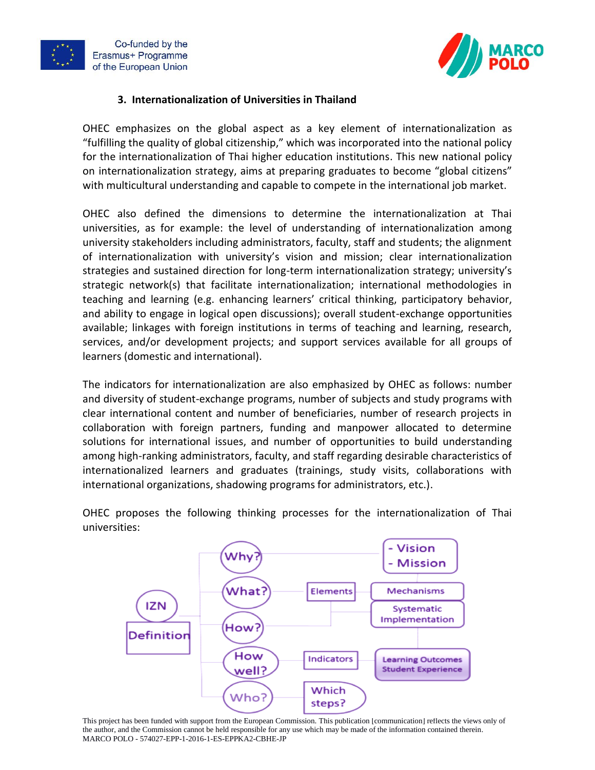



### **3. Internationalization of Universities in Thailand**

OHEC emphasizes on the global aspect as a key element of internationalization as "fulfilling the quality of global citizenship," which was incorporated into the national policy for the internationalization of Thai higher education institutions. This new national policy on internationalization strategy, aims at preparing graduates to become "global citizens" with multicultural understanding and capable to compete in the international job market.

OHEC also defined the dimensions to determine the internationalization at Thai universities, as for example: the level of understanding of internationalization among university stakeholders including administrators, faculty, staff and students; the alignment of internationalization with university's vision and mission; clear internationalization strategies and sustained direction for long-term internationalization strategy; university's strategic network(s) that facilitate internationalization; international methodologies in teaching and learning (e.g. enhancing learners' critical thinking, participatory behavior, and ability to engage in logical open discussions); overall student-exchange opportunities available; linkages with foreign institutions in terms of teaching and learning, research, services, and/or development projects; and support services available for all groups of learners (domestic and international).

The indicators for internationalization are also emphasized by OHEC as follows: number and diversity of student-exchange programs, number of subjects and study programs with clear international content and number of beneficiaries, number of research projects in collaboration with foreign partners, funding and manpower allocated to determine solutions for international issues, and number of opportunities to build understanding among high-ranking administrators, faculty, and staff regarding desirable characteristics of internationalized learners and graduates (trainings, study visits, collaborations with international organizations, shadowing programs for administrators, etc.).

OHEC proposes the following thinking processes for the internationalization of Thai universities:



This project has been funded with support from the European Commission. This publication [communication] reflects the views only of the author, and the Commission cannot be held responsible for any use which may be made of the information contained therein. MARCO POLO - 574027-EPP-1-2016-1-ES-EPPKA2-CBHE-JP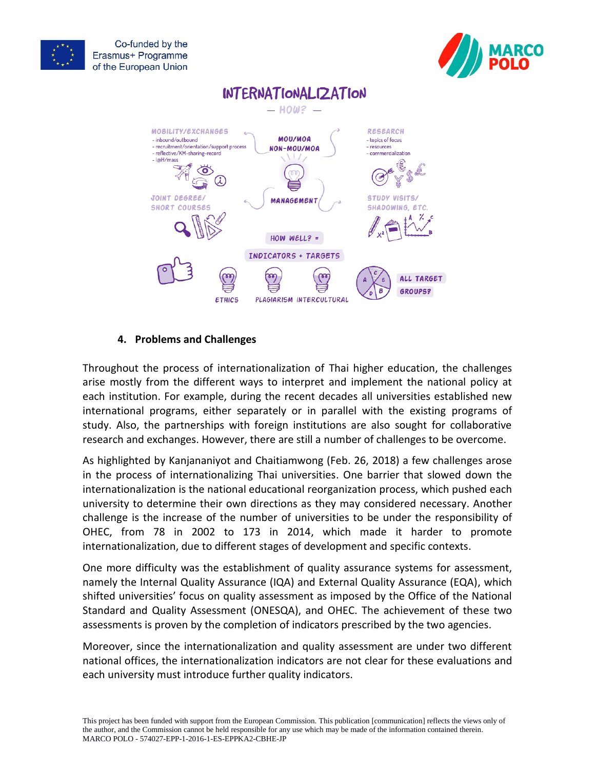





### **4. Problems and Challenges**

Throughout the process of internationalization of Thai higher education, the challenges arise mostly from the different ways to interpret and implement the national policy at each institution. For example, during the recent decades all universities established new international programs, either separately or in parallel with the existing programs of study. Also, the partnerships with foreign institutions are also sought for collaborative research and exchanges. However, there are still a number of challenges to be overcome.

As highlighted by Kanjananiyot and Chaitiamwong (Feb. 26, 2018) a few challenges arose in the process of internationalizing Thai universities. One barrier that slowed down the internationalization is the national educational reorganization process, which pushed each university to determine their own directions as they may considered necessary. Another challenge is the increase of the number of universities to be under the responsibility of OHEC, from 78 in 2002 to 173 in 2014, which made it harder to promote internationalization, due to different stages of development and specific contexts.

One more difficulty was the establishment of quality assurance systems for assessment, namely the Internal Quality Assurance (IQA) and External Quality Assurance (EQA), which shifted universities' focus on quality assessment as imposed by the Office of the National Standard and Quality Assessment (ONESQA), and OHEC. The achievement of these two assessments is proven by the completion of indicators prescribed by the two agencies.

Moreover, since the internationalization and quality assessment are under two different national offices, the internationalization indicators are not clear for these evaluations and each university must introduce further quality indicators.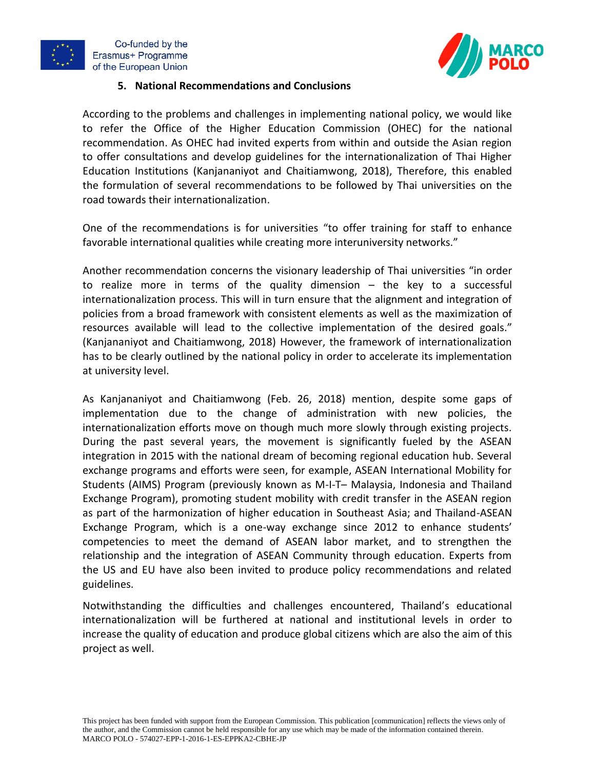





### **5. National Recommendations and Conclusions**

According to the problems and challenges in implementing national policy, we would like to refer the Office of the Higher Education Commission (OHEC) for the national recommendation. As OHEC had invited experts from within and outside the Asian region to offer consultations and develop guidelines for the internationalization of Thai Higher Education Institutions (Kanjananiyot and Chaitiamwong, 2018), Therefore, this enabled the formulation of several recommendations to be followed by Thai universities on the road towards their internationalization.

One of the recommendations is for universities "to offer training for staff to enhance favorable international qualities while creating more interuniversity networks."

Another recommendation concerns the visionary leadership of Thai universities "in order to realize more in terms of the quality dimension – the key to a successful internationalization process. This will in turn ensure that the alignment and integration of policies from a broad framework with consistent elements as well as the maximization of resources available will lead to the collective implementation of the desired goals." (Kanjananiyot and Chaitiamwong, 2018) However, the framework of internationalization has to be clearly outlined by the national policy in order to accelerate its implementation at university level.

As Kanjananiyot and Chaitiamwong (Feb. 26, 2018) mention, despite some gaps of implementation due to the change of administration with new policies, the internationalization efforts move on though much more slowly through existing projects. During the past several years, the movement is significantly fueled by the ASEAN integration in 2015 with the national dream of becoming regional education hub. Several exchange programs and efforts were seen, for example, ASEAN International Mobility for Students (AIMS) Program (previously known as M-I-T– Malaysia, Indonesia and Thailand Exchange Program), promoting student mobility with credit transfer in the ASEAN region as part of the harmonization of higher education in Southeast Asia; and Thailand-ASEAN Exchange Program, which is a one-way exchange since 2012 to enhance students' competencies to meet the demand of ASEAN labor market, and to strengthen the relationship and the integration of ASEAN Community through education. Experts from the US and EU have also been invited to produce policy recommendations and related guidelines.

Notwithstanding the difficulties and challenges encountered, Thailand's educational internationalization will be furthered at national and institutional levels in order to increase the quality of education and produce global citizens which are also the aim of this project as well.